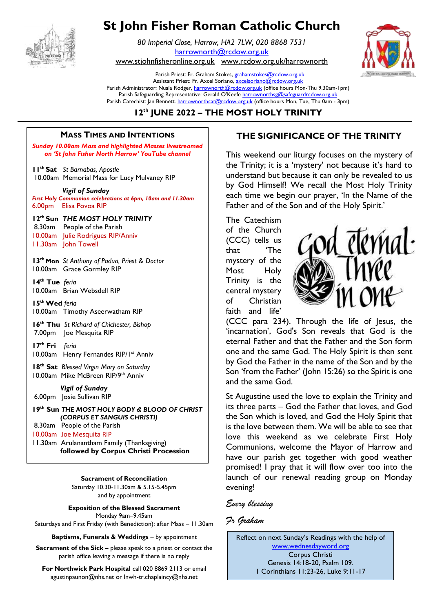

# **St John Fisher Roman Catholic Church**

*80 Imperial Close, Harrow, HA2 7LW, 020 8868 7531* [harrownorth@rcdow.org.uk](mailto:harrownorth@rcdow.org.uk) 

[www.stjohnfisheronline.org.uk](http://www.stjohnfisheronline.org.uk/) www.rcdow.org.uk/harrownorth

Parish Priest: Fr. Graham Stokes[, grahamstokes@rcdow.org.uk](mailto:grahamstokes@rcdow.org.uk) Assistant Priest: Fr. Axcel Soriano[, axcelsoriano@rcdow.org.uk](mailto:axcelsoriano@rcdow.org.uk) Parish Administrator: Nuala Rodger[, harrownorth@rcdow.org.uk](mailto:harrownorth@rcdow.org.uk) (office hours Mon-Thu 9.30am-1pm) Parish Safeguarding Representative: Gerald O'Keefe [harrownorthsg@safeguardrcdow.org.uk](mailto:harrownorthsg@safeguardrcdow.org.uk) Parish Catechist: Jan Bennett. [harrownorthcat@rcdow.org.uk](mailto:harrownorthcat@rcdow.org.uk) (office hours Mon, Tue, Thu 0am - 3pm)

### **12th JUNE 2022 – THE MOST HOLY TRINITY \_\_\_\_\_\_\_\_\_\_\_\_\_\_\_\_\_\_\_\_\_\_\_\_\_\_\_\_\_\_\_\_\_\_\_\_\_\_\_\_\_\_\_\_\_\_\_\_\_\_\_\_\_\_\_\_\_\_\_\_\_\_\_\_\_\_\_\_\_\_\_\_\_\_\_\_\_\_\_\_\_\_\_\_\_\_\_\_\_\_\_\_\_\_\_\_\_\_\_\_\_\_\_\_\_\_\_\_\_\_\_\_\_\_\_\_\_\_\_\_\_\_\_\_\_\_\_\_\_\_\_\_\_\_\_\_\_\_\_\_\_\_\_\_\_\_\_\_\_\_\_\_\_\_\_\_\_\_\_\_\_**

#### **MASS TIMES AND INTENTIONS**  $\mathcal{L}_\mathcal{L} = \mathcal{L}_\mathcal{L}$  , where  $\mathcal{L}_\mathcal{L} = \mathcal{L}_\mathcal{L}$  , where  $\mathcal{L}_\mathcal{L} = \mathcal{L}_\mathcal{L}$  , where  $\mathcal{L}_\mathcal{L} = \mathcal{L}_\mathcal{L}$ --------------------------------------------------------------------------------------------------------------------------------------

**Sunday 10.00am Mass and highlighted Masses livestreamed** *on 'St John Fisher North Harrow' YouTube channel* 

**11th Sat** *St Barnabas, Apostle* 10.00am Memorial Mass for Lucy Mulvaney RIP

*Vigil of Sunday* 

*First Holy Communion celebrations at 6pm, 10am and 11.30am*  6.00pm Elisa Povoa RIP

# **12th Sun** *THE MOST HOLY TRINITY*

8.30am People of the Parish 10.00am Julie Rodrigues RIP/Anniv 11.30am John Towell

**13th Mon** *St Anthony of Padua, Priest & Doctor* 10.00am Grace Gormley RIP

**14th Tue** *feria* 10.00am Brian Websdell RIP

**15thWed** *feria* 10.00am Timothy Aseerwatham RIP

**16th Thu** *St Richard of Chichester, Bishop* 7.00pmJoe Mesquita RIP

**17th Fri** *feria* 10.00am Henry Fernandes RIP/1st Anniv

**18th Sat** *Blessed Virgin Mary on Saturday* 10.00am Mike McBreen RIP/9th Anniv

 *Vigil of Sunday* 6.00pm Josie Sullivan RIP

**19th Sun** *THE MOST HOLY BODY & BLOOD OF CHRIST (CORPUS ET SANGUIS CHRISTI)* 8.30am People of the Parish 10.00am Joe Mesquita RIP 11.30am Arulanantham Family (Thanksgiving) **followed by Corpus Christi Procession** 

**Sacrament of Reconciliation**

Saturday 10.30-11.30am & 5.15-5.45pm and by appointment

**Exposition of the Blessed Sacrament** Monday 9am–9.45am

Saturdays and First Friday (with Benediction): after Mass – 11.30am

**Baptisms, Funerals & Weddings** – by appointment

**Sacrament of the Sick –** please speak to a priest or contact the parish office leaving a message if there is no reply

**For Northwick Park Hospital** call 020 8869 2113 or email agustinpaunon@nhs.net or lnwh-tr.chaplaincy@nhs.net

## **MASS TIMES AND INTENTIONS THE SIGNIFICANCE OF THE TRINITY**

This weekend our liturgy focuses on the mystery of this weekend our margy locases on the mystery of the string to the Trinity; it is a 'mystery' not because it's hard to understand but because it can only be revealed to us by God Himself! We recall the Most Holy Trinity each time we begin our prayer, 'In the Name of the Father and of the Son and of the Holy Spirit.' and the Trinity; it is a mystery

> The Catechism of the Church (CCC) tells us that 'The mystery of the Most Holy Trinity is the central mystery of Christian faith and life'



(CCC para 234). Through the life of Jesus, the 'incarnation', God's Son reveals that God is the eternal Father and that the Father and the Son form one and the same God. The Holy Spirit is then sent by God the Father in the name of the Son and by the Son 'from the Father' (John 15:26) so the Spirit is one and the same God.

St Augustine used the love to explain the Trinity and its three parts – God the Father that loves, and God the Son which is loved, and God the Holy Spirit that is the love between them. We will be able to see that love this weekend as we celebrate First Holy Communions, welcome the Mayor of Harrow and have our parish get together with good weather promised! I pray that it will flow over too into the launch of our renewal reading group on Monday evening!

#### *Every blessing*

#### *Fr Graham*

Reflect on next Sunday's Readings with the help of [www.wednesdayword.org](http://www.wednesdayword.org/) Corpus Christi Genesis 14:18-20, Psalm 109. 1 Corinthians 11:23-26, Luke 9:11-17